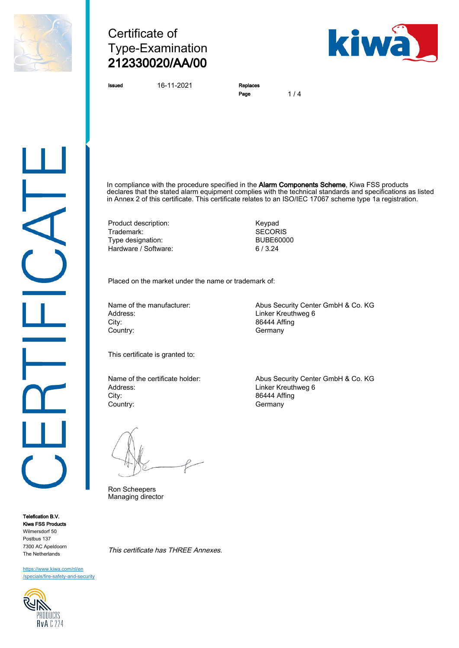

# Certificate of Type-Examination 212330020/AA/00



Issued 16-11-2021 Replaces

Page 1/4

In compliance with the procedure specified in the Alarm Components Scheme, Kiwa FSS products declares that the stated alarm equipment complies with the technical standards and specifications as listed in Annex 2 of this certificate. This certificate relates to an ISO/IEC 17067 scheme type 1a registration.

Product description: 
Weiter Manusch (Keypad Trademark: 
SECORIS Trademark: SECORIS<br>
Type designation: Second BUBE60000 Type designation: Hardware / Software: 6 / 3.24

Placed on the market under the name or trademark of:

Address: Linker Kreuthweg 6 City: 86444 Affing Country: Country: Country: Country: Country: Country: Country: Country: Country: Country: Country: Country: Country: Country: Country: Country: Country: Country: Country: Country: Country: Country: Country: Country: Countr

Name of the manufacturer: Abus Security Center GmbH & Co. KG

This certificate is granted to:

City: 86444 Affing Country: Germany

Ron Scheepers Managing director

This certificate has THREE Annexes.

Name of the certificate holder: Abus Security Center GmbH & Co. KG<br>Address: Address: Address: 1 Linker Kreuthweg 6

Telefication B.V. Kiwa FSS Products Wilmersdorf 50 Postbus 137 7300 AC Apeldoorn The Netherlands

[https://www.kiwa.com/nl/en](https://www.kiwa.com/nl/en/specials/fire-safety-and-security/) [/specials/fire-safety-and-security](https://www.kiwa.com/nl/en/specials/fire-safety-and-security/)

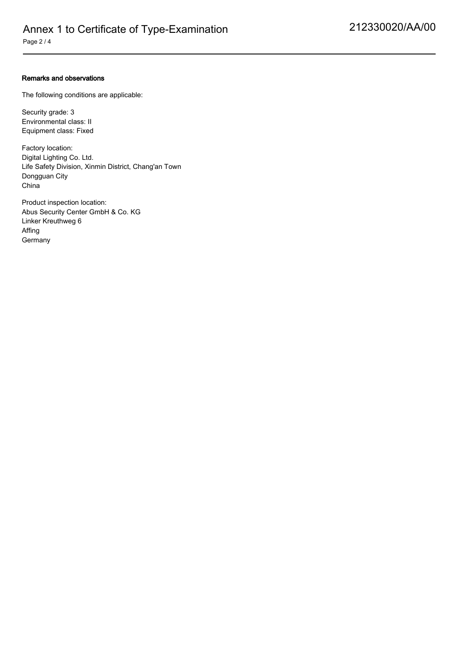#### Remarks and observations

The following conditions are applicable:

Security grade: 3 Environmental class: II Equipment class: Fixed

Factory location: Digital Lighting Co. Ltd. Life Safety Division, Xinmin District, Chang'an Town Dongguan City China

Product inspection location: Abus Security Center GmbH & Co. KG Linker Kreuthweg 6 Affing **Germany**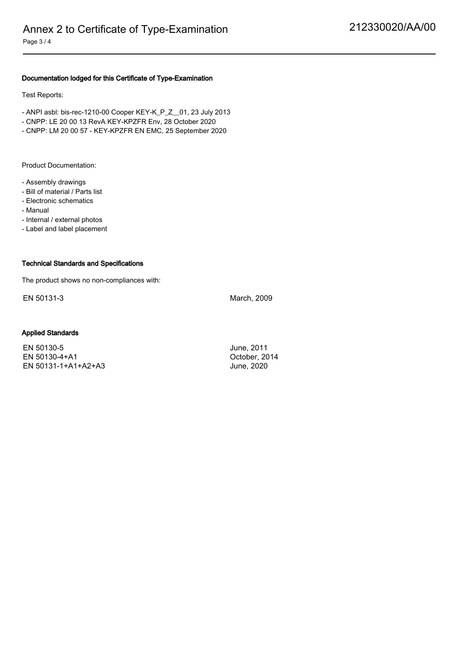### Documentation lodged for this Certificate of Type-Examination

Test Reports:

- ANPI asbl: bis-rec-1210-00 Cooper KEY-K\_P\_Z\_\_01, 23 July 2013
- CNPP: LE 20 00 13 RevA KEY-KPZFR Env, 28 October 2020
- CNPP: LM 20 00 57 KEY-KPZFR EN EMC, 25 September 2020

Product Documentation:

- Assembly drawings
- Bill of material / Parts list
- Electronic schematics
- Manual

- Internal / external photos

- Label and label placement

#### Technical Standards and Specifications

The product shows no non-compliances with:

EN 50131-3 March, 2009

#### Applied Standards

EN 50130-5 June, 2011 EN 50130-4+A1 October, 2014 EN 50131-1+A1+A2+A3 June, 2020